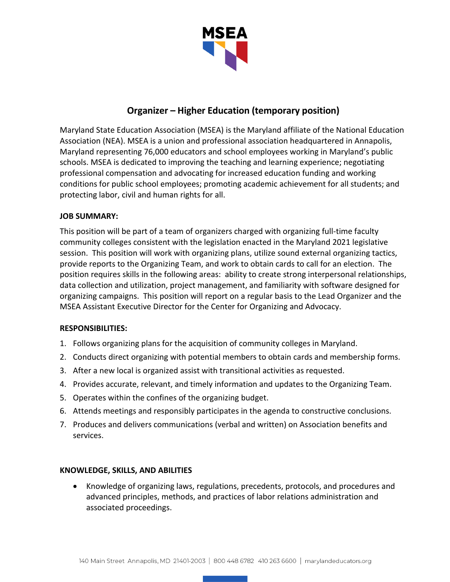

# **Organizer – Higher Education (temporary position)**

Maryland State Education Association (MSEA) is the Maryland affiliate of the National Education Association (NEA). MSEA is a union and professional association headquartered in Annapolis, Maryland representing 76,000 educators and school employees working in Maryland's public schools. MSEA is dedicated to improving the teaching and learning experience; negotiating professional compensation and advocating for increased education funding and working conditions for public school employees; promoting academic achievement for all students; and protecting labor, civil and human rights for all.

## **JOB SUMMARY:**

This position will be part of a team of organizers charged with organizing full-time faculty community colleges consistent with the legislation enacted in the Maryland 2021 legislative session. This position will work with organizing plans, utilize sound external organizing tactics, provide reports to the Organizing Team, and work to obtain cards to call for an election. The position requires skills in the following areas: ability to create strong interpersonal relationships, data collection and utilization, project management, and familiarity with software designed for organizing campaigns. This position will report on a regular basis to the Lead Organizer and the MSEA Assistant Executive Director for the Center for Organizing and Advocacy.

### **RESPONSIBILITIES:**

- 1. Follows organizing plans for the acquisition of community colleges in Maryland.
- 2. Conducts direct organizing with potential members to obtain cards and membership forms.
- 3. After a new local is organized assist with transitional activities as requested.
- 4. Provides accurate, relevant, and timely information and updates to the Organizing Team.
- 5. Operates within the confines of the organizing budget.
- 6. Attends meetings and responsibly participates in the agenda to constructive conclusions.
- 7. Produces and delivers communications (verbal and written) on Association benefits and services.

### **KNOWLEDGE, SKILLS, AND ABILITIES**

• Knowledge of organizing laws, regulations, precedents, protocols, and procedures and advanced principles, methods, and practices of labor relations administration and associated proceedings.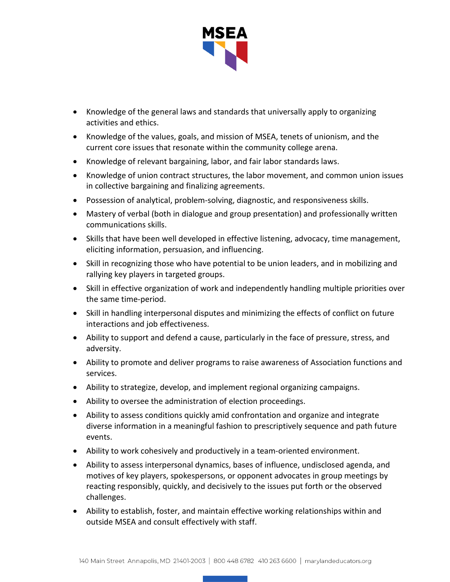

- Knowledge of the general laws and standards that universally apply to organizing activities and ethics.
- Knowledge of the values, goals, and mission of MSEA, tenets of unionism, and the current core issues that resonate within the community college arena.
- Knowledge of relevant bargaining, labor, and fair labor standards laws.
- Knowledge of union contract structures, the labor movement, and common union issues in collective bargaining and finalizing agreements.
- Possession of analytical, problem-solving, diagnostic, and responsiveness skills.
- Mastery of verbal (both in dialogue and group presentation) and professionally written communications skills.
- Skills that have been well developed in effective listening, advocacy, time management, eliciting information, persuasion, and influencing.
- Skill in recognizing those who have potential to be union leaders, and in mobilizing and rallying key players in targeted groups.
- Skill in effective organization of work and independently handling multiple priorities over the same time-period.
- Skill in handling interpersonal disputes and minimizing the effects of conflict on future interactions and job effectiveness.
- Ability to support and defend a cause, particularly in the face of pressure, stress, and adversity.
- Ability to promote and deliver programs to raise awareness of Association functions and services.
- Ability to strategize, develop, and implement regional organizing campaigns.
- Ability to oversee the administration of election proceedings.
- Ability to assess conditions quickly amid confrontation and organize and integrate diverse information in a meaningful fashion to prescriptively sequence and path future events.
- Ability to work cohesively and productively in a team-oriented environment.
- Ability to assess interpersonal dynamics, bases of influence, undisclosed agenda, and motives of key players, spokespersons, or opponent advocates in group meetings by reacting responsibly, quickly, and decisively to the issues put forth or the observed challenges.
- Ability to establish, foster, and maintain effective working relationships within and outside MSEA and consult effectively with staff.